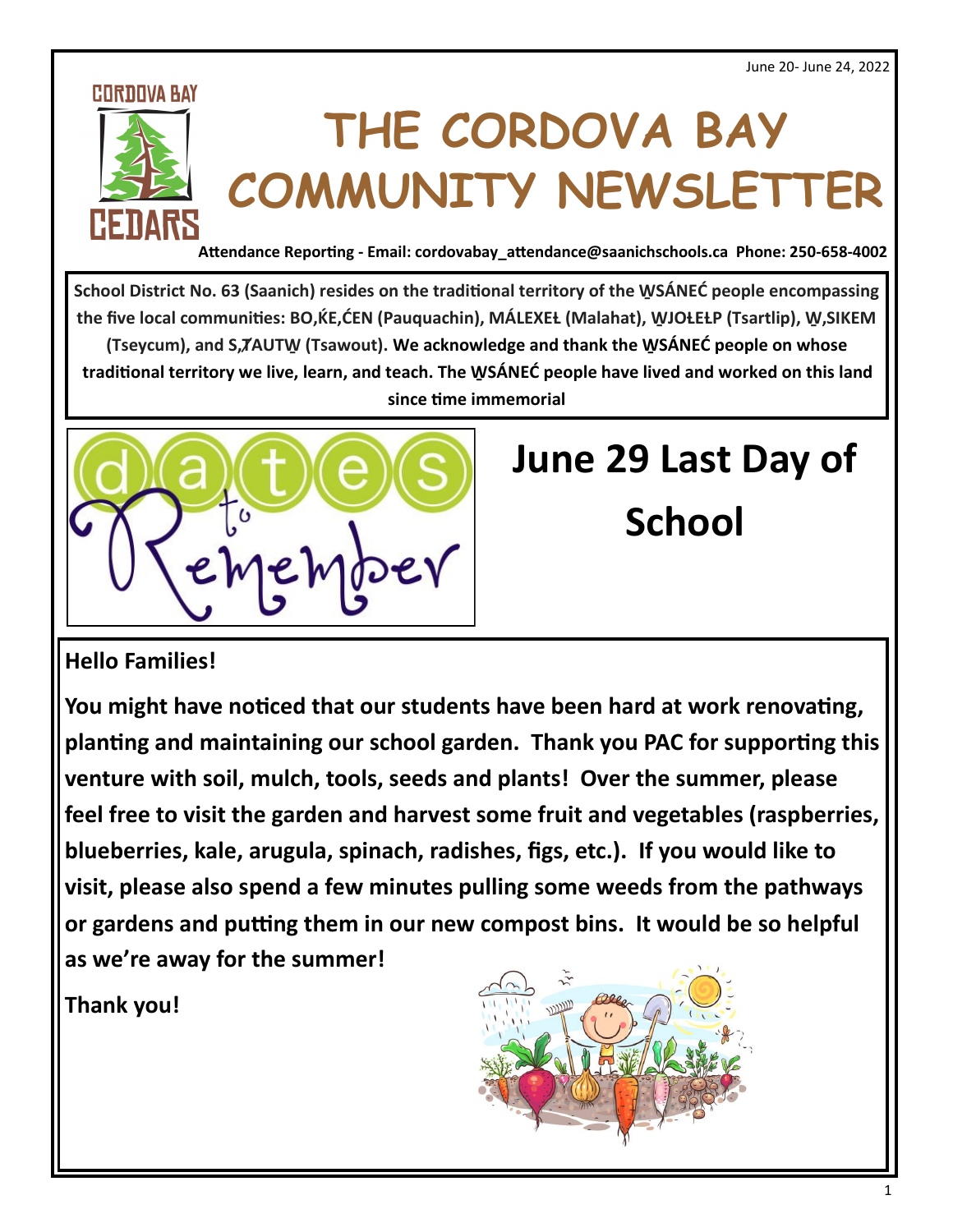#### **CORDOVA BAY**



# **THE CORDOVA BAY COMMUNITY NEWSLETTER**

**Attendance Reporting - Email: cordovabay\_attendance@saanichschools.ca Phone: 250-658-4002**

**School District No. 63 (Saanich) resides on the traditional territory of the W̱ SÁNEĆ people encompassing**  the five local communities: BO, KE, CEN (Pauquachin), MALEXEL (Malahat), WJOLELP (Tsartlip), W, SIKEM **(Tseycum), and S,ȾAUTW̱ (Tsawout). We acknowledge and thank the W̱ SÁNEĆ people on whose traditional territory we live, learn, and teach. The W̱ SÁNEĆ people have lived and worked on this land since time immemorial**



### **June 29 Last Day of**

**School** 

#### **Hello Families!**

**You might have noticed that our students have been hard at work renovating, planting and maintaining our school garden. Thank you PAC for supporting this venture with soil, mulch, tools, seeds and plants! Over the summer, please feel free to visit the garden and harvest some fruit and vegetables (raspberries, blueberries, kale, arugula, spinach, radishes, figs, etc.). If you would like to visit, please also spend a few minutes pulling some weeds from the pathways or gardens and putting them in our new compost bins. It would be so helpful as we're away for the summer!**

**Thank you!**

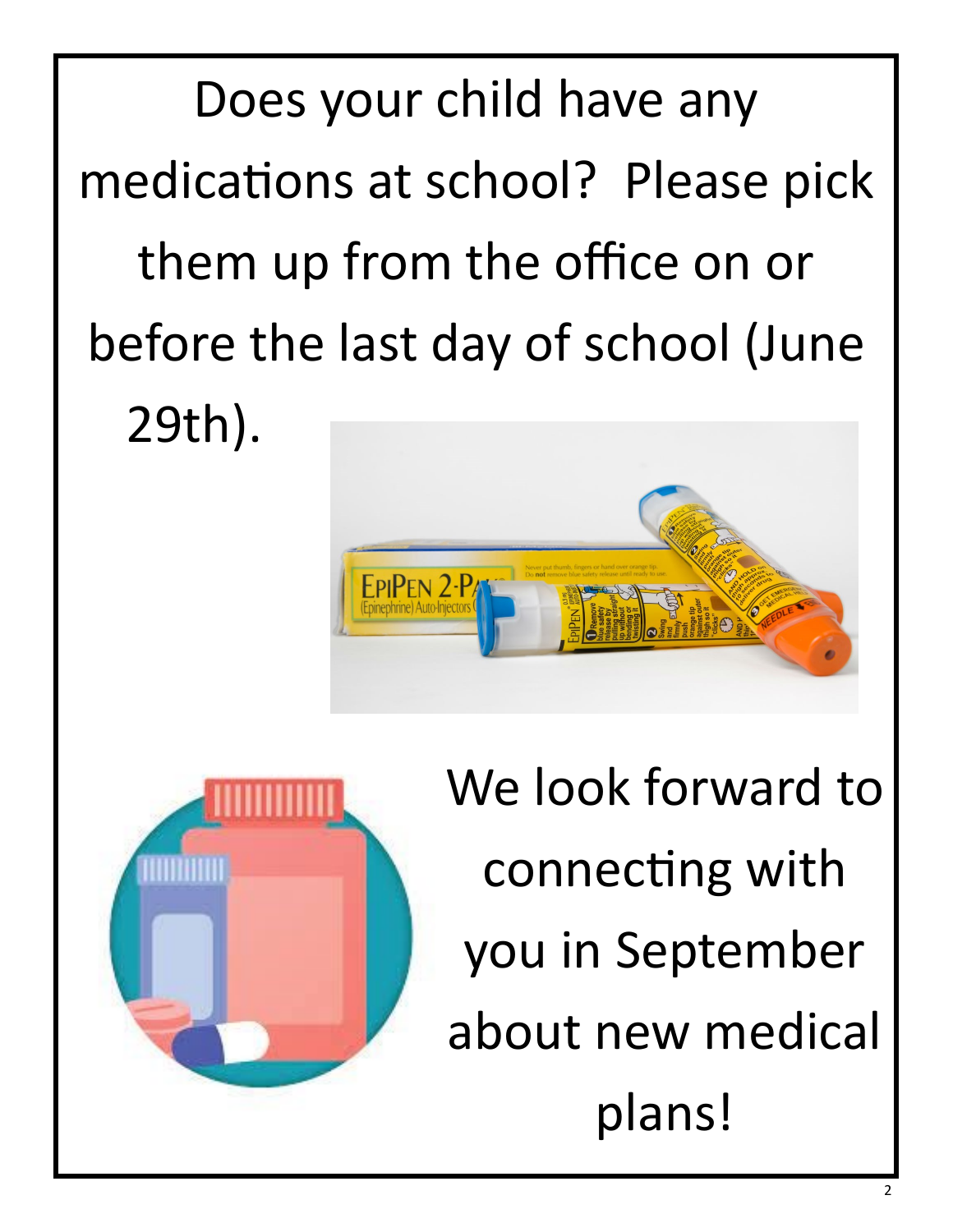Does your child have any medications at school? Please pick them up from the office on or before the last day of school (June 29th).





We look forward to connecting with you in September about new medical plans!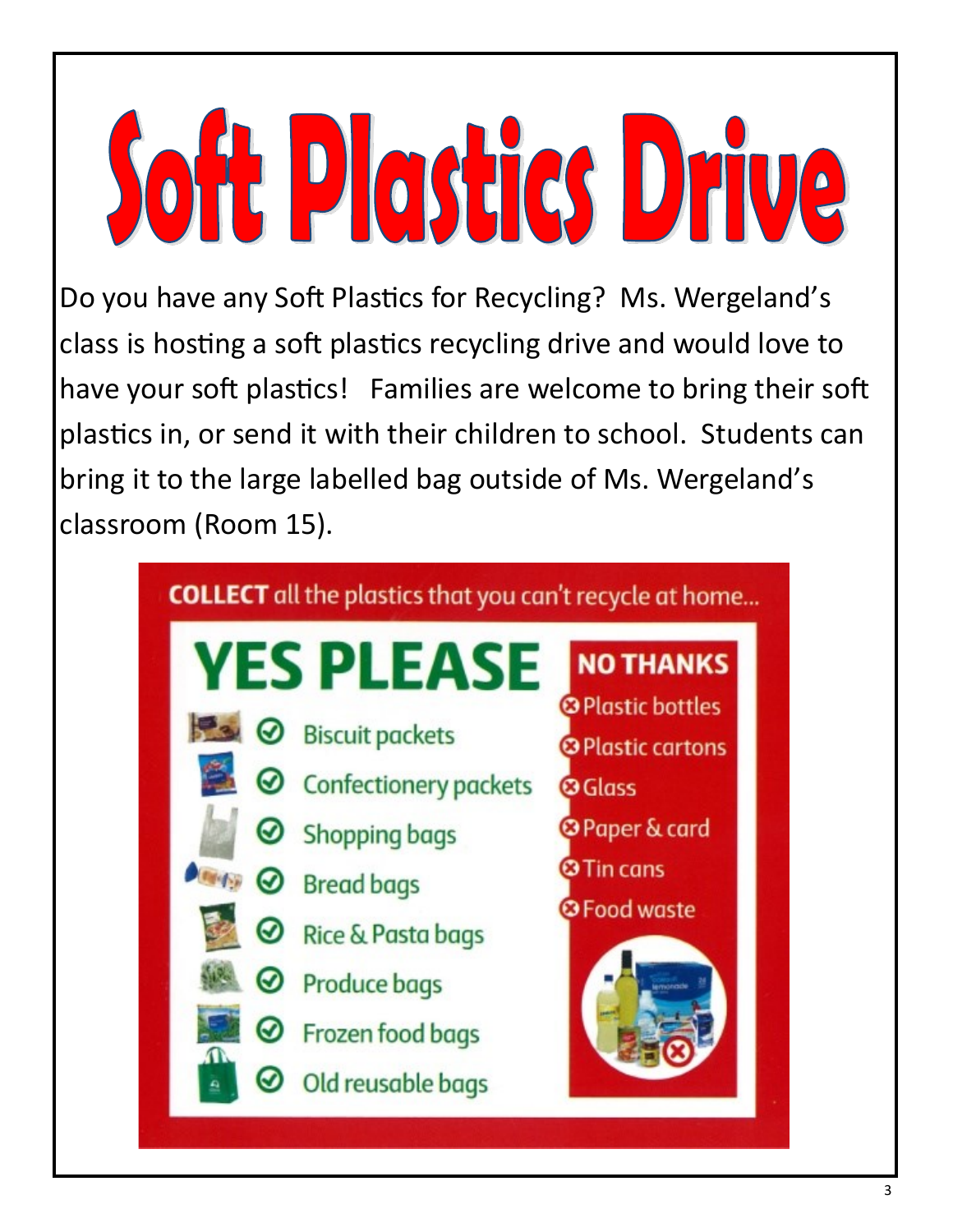**Soft Plastics Drive** 

Do you have any Soft Plastics for Recycling? Ms. Wergeland's class is hosting a soft plastics recycling drive and would love to have your soft plastics! Families are welcome to bring their soft plastics in, or send it with their children to school. Students can bring it to the large labelled bag outside of Ms. Wergeland's classroom (Room 15).

#### **COLLECT** all the plastics that you can't recycle at home...

# **YES PLEASE**

- $\odot$  Biscuit packets
	- **Confectionery packets**
- **Shopping bags**
- **⊘** Bread bags
	- **Rice & Pasta bags**
	- **Produce bags** 
		- Frozen food bags
		- Old reusable bags

<sup>3</sup> Plastic bottles <sup>®</sup> Plastic cartons

**NO THANKS** 

- **O** Glass
- <sup>3</sup> Paper & card
- **3 Tin cans**
- <sup>3</sup> Food waste

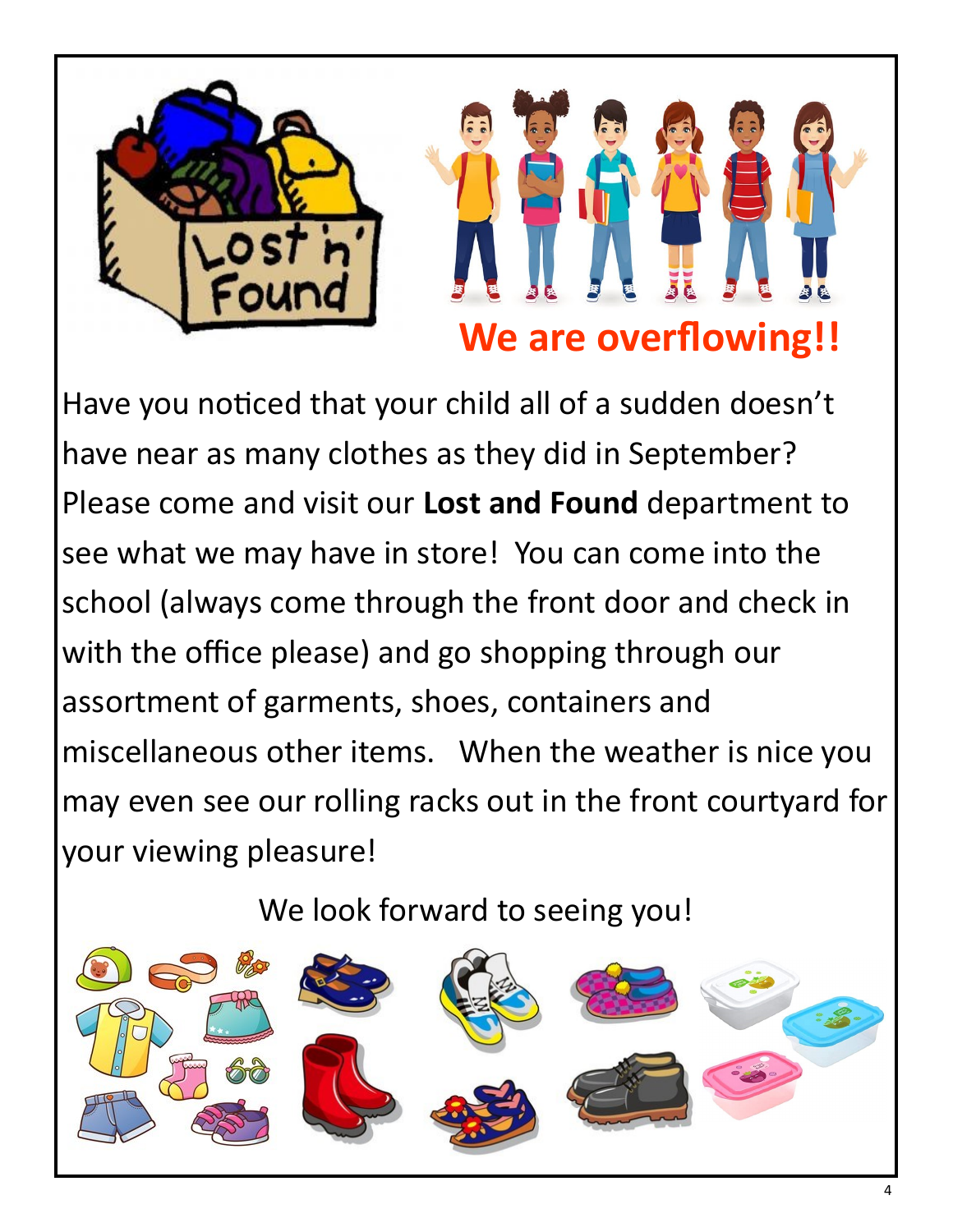

Have you noticed that your child all of a sudden doesn't have near as many clothes as they did in September? Please come and visit our **Lost and Found** department to see what we may have in store! You can come into the school (always come through the front door and check in with the office please) and go shopping through our assortment of garments, shoes, containers and miscellaneous other items. When the weather is nice you may even see our rolling racks out in the front courtyard for your viewing pleasure!

We look forward to seeing you!